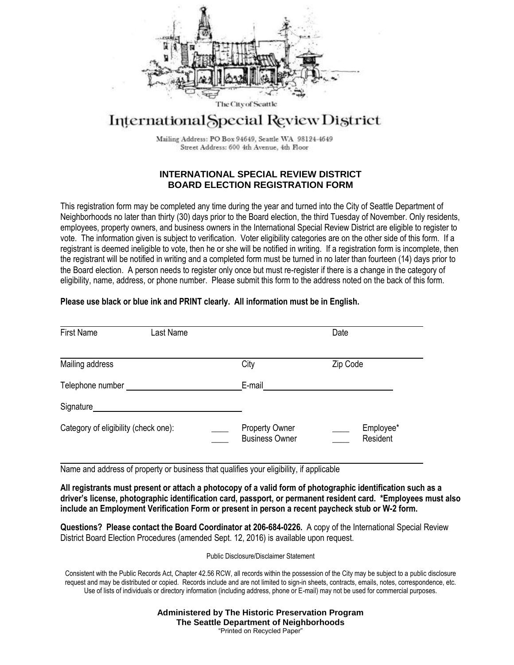

# International Special Review District

Mailing Address: PO Box 94649, Seattle WA 98124-4649 Street Address: 600 4th Avenue, 4th Floor

#### **INTERNATIONAL SPECIAL REVIEW DISTRICT BOARD ELECTION REGISTRATION FORM**

This registration form may be completed any time during the year and turned into the City of Seattle Department of Neighborhoods no later than thirty (30) days prior to the Board election, the third Tuesday of November. Only residents, employees, property owners, and business owners in the International Special Review District are eligible to register to vote. The information given is subject to verification. Voter eligibility categories are on the other side of this form. If a registrant is deemed ineligible to vote, then he or she will be notified in writing. If a registration form is incomplete, then the registrant will be notified in writing and a completed form must be turned in no later than fourteen (14) days prior to the Board election. A person needs to register only once but must re-register if there is a change in the category of eligibility, name, address, or phone number. Please submit this form to the address noted on the back of this form.

### **Please use black or blue ink and PRINT clearly. All information must be in English.**

| <b>First Name</b>                    | Last Name |                                                | Date                  |
|--------------------------------------|-----------|------------------------------------------------|-----------------------|
| Mailing address                      |           | City                                           | Zip Code              |
| Telephone number                     |           | E-mail                                         |                       |
| Signature                            |           |                                                |                       |
| Category of eligibility (check one): |           | <b>Property Owner</b><br><b>Business Owner</b> | Employee*<br>Resident |

Name and address of property or business that qualifies your eligibility, if applicable

**All registrants must present or attach a photocopy of a valid form of photographic identification such as a driver's license, photographic identification card, passport, or permanent resident card. \*Employees must also include an Employment Verification Form or present in person a recent paycheck stub or W-2 form.** 

**Questions? Please contact the Board Coordinator at 206-684-0226.** A copy of the International Special Review District Board Election Procedures (amended Sept. 12, 2016) is available upon request.

Public Disclosure/Disclaimer Statement

Consistent with the Public Records Act, Chapter 42.56 RCW, all records within the possession of the City may be subject to a public disclosure request and may be distributed or copied. Records include and are not limited to sign-in sheets, contracts, emails, notes, correspondence, etc. Use of lists of individuals or directory information (including address, phone or E-mail) may not be used for commercial purposes.

> **Administered by The Historic Preservation Program The Seattle Department of Neighborhoods** "Printed on Recycled Paper"